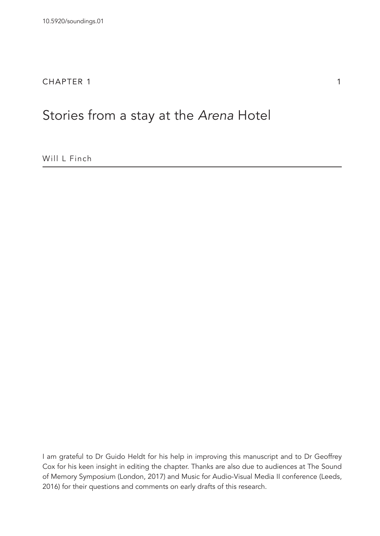# CHAPTER 1 2002 1

# Stories from a stay at the *Arena* Hotel

Will L Finch

I am grateful to Dr Guido Heldt for his help in improving this manuscript and to Dr Geoffrey Cox for his keen insight in editing the chapter. Thanks are also due to audiences at The Sound of Memory Symposium (London, 2017) and Music for Audio-Visual Media II conference (Leeds, 2016) for their questions and comments on early drafts of this research.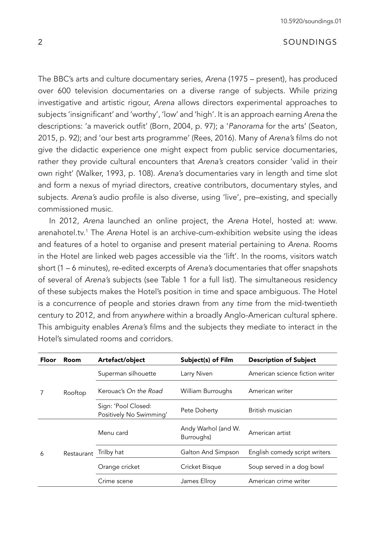The BBC's arts and culture documentary series, *Arena* (1975 – present), has produced over 600 television documentaries on a diverse range of subjects. While prizing investigative and artistic rigour, *Arena* allows directors experimental approaches to subjects 'insignificant' and 'worthy', 'low' and 'high'. It is an approach earning *Arena* the descriptions: 'a maverick outfit' (Born, 2004, p. 97); a '*Panorama* for the arts' (Seaton, 2015, p. 92); and 'our best arts programme' (Rees, 2016). Many of *Arena's* films do not give the didactic experience one might expect from public service documentaries, rather they provide cultural encounters that *Arena's* creators consider 'valid in their own right' (Walker, 1993, p. 108). *Arena's* documentaries vary in length and time slot and form a nexus of myriad directors, creative contributors, documentary styles, and subjects. *Arena's* audio profile is also diverse, using 'live', pre–existing, and specially commissioned music.

In 2012, *Arena* launched an online project, the *Arena* Hotel, hosted at: www. arenahotel.tv.1 The *Arena* Hotel is an archive-cum-exhibition website using the ideas and features of a hotel to organise and present material pertaining to *Arena*. Rooms in the Hotel are linked web pages accessible via the 'lift'. In the rooms, visitors watch short (1 – 6 minutes), re-edited excerpts of *Arena's* documentaries that offer snapshots of several of *Arena's* subjects (see Table 1 for a full list). The simultaneous residency of these subjects makes the Hotel's position in time and space ambiguous. The Hotel is a concurrence of people and stories drawn from any *time* from the mid-twentieth century to 2012, and from any*where* within a broadly Anglo-American cultural sphere. This ambiguity enables *Arena's* films and the subjects they mediate to interact in the Hotel's simulated rooms and corridors.

| Floor | Room       | Artefact/object                                | Subject(s) of Film                | <b>Description of Subject</b>   |
|-------|------------|------------------------------------------------|-----------------------------------|---------------------------------|
|       | Rooftop    | Superman silhouette                            | Larry Niven                       | American science fiction writer |
|       |            | Kerouac's On the Road                          | William Burroughs                 | American writer                 |
|       |            | Sign: 'Pool Closed:<br>Positively No Swimming' | Pete Doherty                      | British musician                |
| 6     | Restaurant | Menu card                                      | Andy Warhol (and W.<br>Burroughs) | American artist                 |
|       |            | Trilby hat                                     | Galton And Simpson                | English comedy script writers   |
|       |            | Orange cricket                                 | Cricket Bisque                    | Soup served in a dog bowl       |
|       |            | Crime scene                                    | James Ellroy                      | American crime writer           |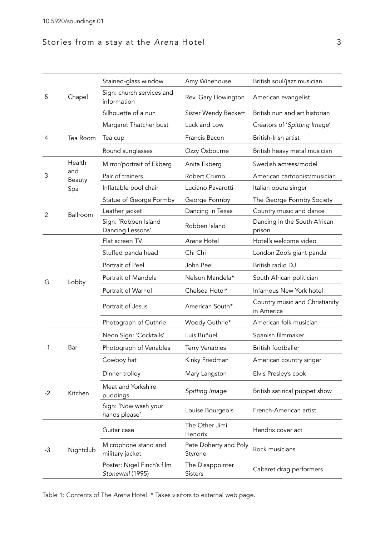|      |                                | Stained-glass window                           | Amy Winehouse                      | British soul/jazz musician                   |
|------|--------------------------------|------------------------------------------------|------------------------------------|----------------------------------------------|
| 5    | Chapel                         | Sign: church services and<br>information       | Rev. Gary Howington                | American evangelist                          |
|      |                                | Silhouette of a nun                            | Sister Wendy Beckett               | British nun and art historian                |
| 4    | Tea Room                       | Margaret Thatcher bust                         | Luck and Low                       | Creators of 'Spitting Image'                 |
|      |                                | Tea cup                                        | Francis Bacon                      | British-Irish artist                         |
|      |                                | Round sunglasses                               | Ozzy Osbourne                      | British heavy metal musician                 |
| 3    | Health<br>and<br>Beauty<br>Spa | Mirror/portrait of Ekberg                      | Anita Ekberg                       | Swedish actress/model                        |
|      |                                | Pair of trainers                               | Robert Crumb                       | American cartoonist/musician                 |
|      |                                | Inflatable pool chair                          | Luciano Pavarotti                  | Italian opera singer                         |
| 2    | Ballroom                       | Statue of George Formby                        | George Formby                      | The George Formby Society                    |
|      |                                | Leather jacket                                 | Dancing in Texas                   | Country music and dance                      |
|      |                                | Sign: 'Robben Island<br>Dancing Lessons'       | Robben Island                      | Dancing in the South African<br>prison       |
|      | Lobby                          | Flat screen TV                                 | Arena Hotel                        | Hotel's welcome video                        |
|      |                                | Stuffed panda head                             | Chi Chi                            | London Zoo's giant panda                     |
| G    |                                | Portrait of Peel                               | John Peel                          | British radio DJ                             |
|      |                                | Portrait of Mandela                            | Nelson Mandela*                    | South African politician                     |
|      |                                | Portrait of Warhol                             | Chelsea Hotel*                     | Infamous New York hotel                      |
|      |                                | Portrait of Jesus                              | American South*                    | Country music and Christianity<br>in America |
|      |                                | Photograph of Guthrie                          | Woody Guthrie*                     | American folk musician                       |
| -1   | Bar                            | Neon Sign: 'Cocktails'                         | Luis Buñuel                        | Spanish filmmaker                            |
|      |                                | Photograph of Venables                         | Terry Venables                     | British footballer                           |
|      |                                | Cowboy hat                                     | Kinky Friedman                     | American country singer                      |
| $-2$ | Kitchen                        | Dinner trolley                                 | Mary Langston                      | Elvis Presley's cook                         |
|      |                                | Meat and Yorkshire<br>puddings                 | Spitting Image                     | British satirical puppet show                |
|      |                                | Sign: 'Now wash your<br>hands please'          | Louise Bourgeois                   | French-American artist                       |
| -3   | Nightclub                      | Guitar case                                    | The Other Jimi<br>Hendrix          | Hendrix cover act                            |
|      |                                | Microphone stand and<br>military jacket        | Pete Doherty and Poly<br>Styrene   | Rock musicians                               |
|      |                                | Poster: Nigel Finch's film<br>Stonewall (1995) | The Disappointer<br><b>Sisters</b> | Cabaret drag performers                      |

Table 1: Contents of The *Arena* Hotel. \* Takes visitors to external web page.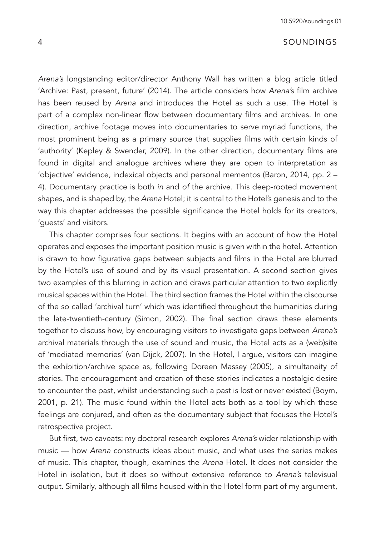*Arena's* longstanding editor/director Anthony Wall has written a blog article titled 'Archive: Past, present, future' (2014). The article considers how *Arena's* film archive has been reused by *Arena* and introduces the Hotel as such a use. The Hotel is part of a complex non-linear flow between documentary films and archives. In one direction, archive footage moves into documentaries to serve myriad functions, the most prominent being as a primary source that supplies films with certain kinds of 'authority' (Kepley & Swender, 2009). In the other direction, documentary films are found in digital and analogue archives where they are open to interpretation as 'objective' evidence, indexical objects and personal mementos (Baron, 2014, pp. 2 – 4). Documentary practice is both *in* and *of* the archive. This deep-rooted movement shapes, and is shaped by, the *Arena* Hotel; it is central to the Hotel's genesis and to the way this chapter addresses the possible significance the Hotel holds for its creators, 'guests' and visitors.

This chapter comprises four sections. It begins with an account of how the Hotel operates and exposes the important position music is given within the hotel. Attention is drawn to how figurative gaps between subjects and films in the Hotel are blurred by the Hotel's use of sound and by its visual presentation. A second section gives two examples of this blurring in action and draws particular attention to two explicitly musical spaces within the Hotel. The third section frames the Hotel within the discourse of the so called 'archival turn' which was identified throughout the humanities during the late-twentieth-century (Simon, 2002). The final section draws these elements together to discuss how, by encouraging visitors to investigate gaps between *Arena's* archival materials through the use of sound and music, the Hotel acts as a (web)site of 'mediated memories' (van Dijck, 2007). In the Hotel, I argue, visitors can imagine the exhibition/archive space as, following Doreen Massey (2005), a simultaneity of stories. The encouragement and creation of these stories indicates a nostalgic desire to encounter the past, whilst understanding such a past is lost or never existed (Boym, 2001, p. 21). The music found within the Hotel acts both as a tool by which these feelings are conjured, and often as the documentary subject that focuses the Hotel's retrospective project.

But first, two caveats: my doctoral research explores *Arena's* wider relationship with music — how *Arena* constructs ideas about music, and what uses the series makes of music. This chapter, though, examines the *Arena* Hotel. It does not consider the Hotel in isolation, but it does so without extensive reference to *Arena's* televisual output. Similarly, although all films housed within the Hotel form part of my argument,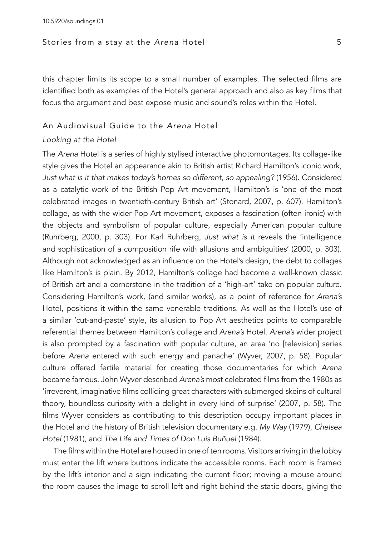this chapter limits its scope to a small number of examples. The selected films are identified both as examples of the Hotel's general approach and also as key films that focus the argument and best expose music and sound's roles within the Hotel.

### An Audiovisual Guide to the *Arena* Hotel

#### *Looking at the Hotel*

The *Arena* Hotel is a series of highly stylised interactive photomontages. Its collage-like style gives the Hotel an appearance akin to British artist Richard Hamilton's iconic work, *Just what is it that makes today's homes so different, so appealing?* (1956). Considered as a catalytic work of the British Pop Art movement, Hamilton's is 'one of the most celebrated images in twentieth-century British art' (Stonard, 2007, p. 607). Hamilton's collage, as with the wider Pop Art movement, exposes a fascination (often ironic) with the objects and symbolism of popular culture, especially American popular culture (Ruhrberg, 2000, p. 303). For Karl Ruhrberg, *Just what is it* reveals the 'intelligence and sophistication of a composition rife with allusions and ambiguities' (2000, p. 303). Although not acknowledged as an influence on the Hotel's design, the debt to collages like Hamilton's is plain. By 2012, Hamilton's collage had become a well-known classic of British art and a cornerstone in the tradition of a 'high-art' take on popular culture. Considering Hamilton's work, (and similar works), as a point of reference for *Arena's* Hotel, positions it within the same venerable traditions. As well as the Hotel's use of a similar 'cut-and-paste' style, its allusion to Pop Art aesthetics points to comparable referential themes between Hamilton's collage and *Arena's* Hotel. *Arena's* wider project is also prompted by a fascination with popular culture, an area 'no [television] series before *Arena* entered with such energy and panache' (Wyver, 2007, p. 58). Popular culture offered fertile material for creating those documentaries for which *Arena* became famous. John Wyver described *Arena's* most celebrated films from the 1980s as 'irreverent, imaginative films colliding great characters with submerged skeins of cultural theory, boundless curiosity with a delight in every kind of surprise' (2007, p. 58). The films Wyver considers as contributing to this description occupy important places in the Hotel and the history of British television documentary e.g. *My Way* (1979), *Chelsea Hotel* (1981), and *The Life and Times of Don Luis Buñuel* (1984).

The films within the Hotel are housed in one of ten rooms. Visitors arriving in the lobby must enter the lift where buttons indicate the accessible rooms. Each room is framed by the lift's interior and a sign indicating the current floor; moving a mouse around the room causes the image to scroll left and right behind the static doors, giving the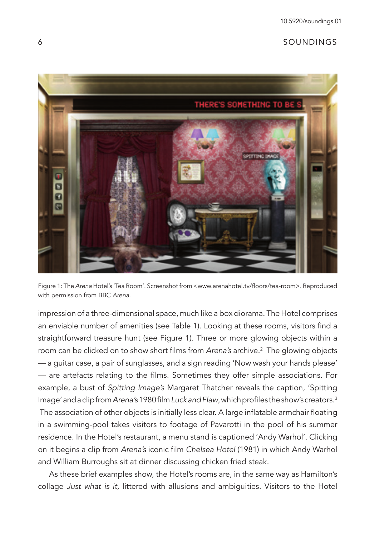

Figure 1: The *Arena* Hotel's 'Tea Room'. Screenshot from <www.arenahotel.tv/floors/tea-room>. Reproduced with permission from BBC *Arena*.

impression of a three-dimensional space, much like a box diorama. The Hotel comprises an enviable number of amenities (see Table 1). Looking at these rooms, visitors find a straightforward treasure hunt (see Figure 1). Three or more glowing objects within a room can be clicked on to show short films from *Arena's* archive.2 The glowing objects — a guitar case, a pair of sunglasses, and a sign reading 'Now wash your hands please' — are artefacts relating to the films. Sometimes they offer simple associations. For example, a bust of *Spitting Image's* Margaret Thatcher reveals the caption, 'Spitting Image' and a clip from *Arena's* 1980 film *Luck and Flaw*, which profiles the show's creators.<sup>3</sup> The association of other objects is initially less clear. A large inflatable armchair floating in a swimming-pool takes visitors to footage of Pavarotti in the pool of his summer residence. In the Hotel's restaurant, a menu stand is captioned 'Andy Warhol'. Clicking on it begins a clip from *Arena's* iconic film *Chelsea Hotel* (1981) in which Andy Warhol and William Burroughs sit at dinner discussing chicken fried steak.

As these brief examples show, the Hotel's rooms are, in the same way as Hamilton's collage *Just what is it,* littered with allusions and ambiguities. Visitors to the Hotel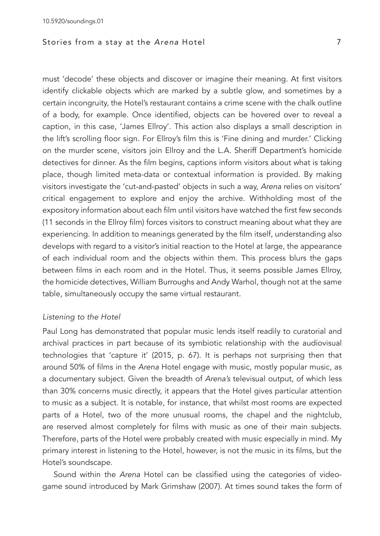must 'decode' these objects and discover or imagine their meaning. At first visitors identify clickable objects which are marked by a subtle glow, and sometimes by a certain incongruity, the Hotel's restaurant contains a crime scene with the chalk outline of a body, for example. Once identified, objects can be hovered over to reveal a caption, in this case, 'James Ellroy'. This action also displays a small description in the lift's scrolling floor sign. For Ellroy's film this is 'Fine dining and murder.' Clicking on the murder scene, visitors join Ellroy and the L.A. Sheriff Department's homicide detectives for dinner. As the film begins, captions inform visitors about what is taking place, though limited meta-data or contextual information is provided. By making visitors investigate the 'cut-and-pasted' objects in such a way, *Arena* relies on visitors' critical engagement to explore and enjoy the archive. Withholding most of the expository information about each film until visitors have watched the first few seconds (11 seconds in the Ellroy film) forces visitors to construct meaning about what they are experiencing. In addition to meanings generated by the film itself, understanding also develops with regard to a visitor's initial reaction to the Hotel at large, the appearance of each individual room and the objects within them. This process blurs the gaps between films in each room and in the Hotel. Thus, it seems possible James Ellroy, the homicide detectives, William Burroughs and Andy Warhol, though not at the same table, simultaneously occupy the same virtual restaurant.

#### *Listening to the Hotel*

Paul Long has demonstrated that popular music lends itself readily to curatorial and archival practices in part because of its symbiotic relationship with the audiovisual technologies that 'capture it' (2015, p. 67). It is perhaps not surprising then that around 50% of films in the *Arena* Hotel engage with music, mostly popular music, as a documentary subject. Given the breadth of *Arena's* televisual output, of which less than 30% concerns music directly, it appears that the Hotel gives particular attention to music as a subject. It is notable, for instance, that whilst most rooms are expected parts of a Hotel, two of the more unusual rooms, the chapel and the nightclub, are reserved almost completely for films with music as one of their main subjects. Therefore, parts of the Hotel were probably created with music especially in mind. My primary interest in listening to the Hotel, however, is not the music in its films, but the Hotel's soundscape.

Sound within the *Arena* Hotel can be classified using the categories of videogame sound introduced by Mark Grimshaw (2007). At times sound takes the form of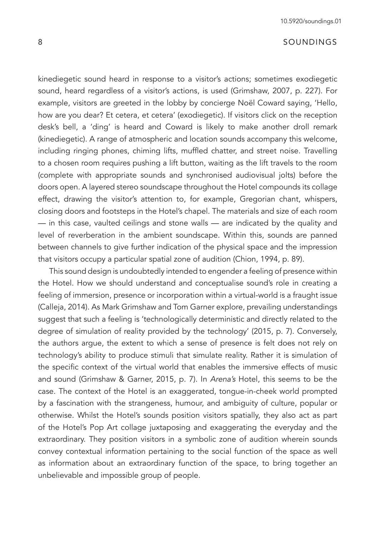kinediegetic sound heard in response to a visitor's actions; sometimes exodiegetic sound, heard regardless of a visitor's actions, is used (Grimshaw, 2007, p. 227). For example, visitors are greeted in the lobby by concierge Noël Coward saying, 'Hello, how are you dear? Et cetera, et cetera' (exodiegetic). If visitors click on the reception desk's bell, a 'ding' is heard and Coward is likely to make another droll remark (kinediegetic). A range of atmospheric and location sounds accompany this welcome, including ringing phones, chiming lifts, muffled chatter, and street noise. Travelling to a chosen room requires pushing a lift button, waiting as the lift travels to the room (complete with appropriate sounds and synchronised audiovisual jolts) before the doors open. A layered stereo soundscape throughout the Hotel compounds its collage effect, drawing the visitor's attention to, for example, Gregorian chant, whispers, closing doors and footsteps in the Hotel's chapel. The materials and size of each room — in this case, vaulted ceilings and stone walls — are indicated by the quality and level of reverberation in the ambient soundscape. Within this, sounds are panned between channels to give further indication of the physical space and the impression that visitors occupy a particular spatial zone of audition (Chion, 1994, p. 89).

This sound design is undoubtedly intended to engender a feeling of presence within the Hotel. How we should understand and conceptualise sound's role in creating a feeling of immersion, presence or incorporation within a virtual-world is a fraught issue (Calleja, 2014). As Mark Grimshaw and Tom Garner explore, prevailing understandings suggest that such a feeling is 'technologically deterministic and directly related to the degree of simulation of reality provided by the technology' (2015, p. 7). Conversely, the authors argue, the extent to which a sense of presence is felt does not rely on technology's ability to produce stimuli that simulate reality. Rather it is simulation of the specific context of the virtual world that enables the immersive effects of music and sound (Grimshaw & Garner, 2015, p. 7). In *Arena's* Hotel, this seems to be the case. The context of the Hotel is an exaggerated, tongue-in-cheek world prompted by a fascination with the strangeness, humour, and ambiguity of culture, popular or otherwise. Whilst the Hotel's sounds position visitors spatially, they also act as part of the Hotel's Pop Art collage juxtaposing and exaggerating the everyday and the extraordinary. They position visitors in a symbolic zone of audition wherein sounds convey contextual information pertaining to the social function of the space as well as information about an extraordinary function of the space, to bring together an unbelievable and impossible group of people.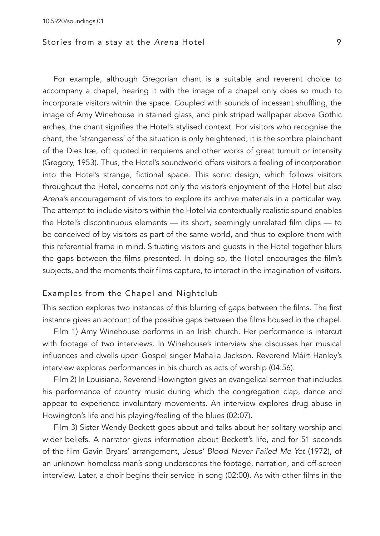For example, although Gregorian chant is a suitable and reverent choice to accompany a chapel, hearing it with the image of a chapel only does so much to incorporate visitors within the space. Coupled with sounds of incessant shuffling, the image of Amy Winehouse in stained glass, and pink striped wallpaper above Gothic arches, the chant signifies the Hotel's stylised context. For visitors who recognise the chant, the 'strangeness' of the situation is only heightened; it is the sombre plainchant of the Dies Iræ, oft quoted in requiems and other works of great tumult or intensity (Gregory, 1953). Thus, the Hotel's soundworld offers visitors a feeling of incorporation into the Hotel's strange, fictional space. This sonic design, which follows visitors throughout the Hotel, concerns not only the visitor's enjoyment of the Hotel but also *Arena's* encouragement of visitors to explore its archive materials in a particular way. The attempt to include visitors within the Hotel via contextually realistic sound enables the Hotel's discontinuous elements — its short, seemingly unrelated film clips — to be conceived of by visitors as part of the same world, and thus to explore them with this referential frame in mind. Situating visitors and guests in the Hotel together blurs the gaps between the films presented. In doing so, the Hotel encourages the film's subjects, and the moments their films capture, to interact in the imagination of visitors.

# Examples from the Chapel and Nightclub

This section explores two instances of this blurring of gaps between the films. The first instance gives an account of the possible gaps between the films housed in the chapel.

Film 1) Amy Winehouse performs in an Irish church. Her performance is intercut with footage of two interviews. In Winehouse's interview she discusses her musical influences and dwells upon Gospel singer Mahalia Jackson. Reverend Máirt Hanley's interview explores performances in his church as acts of worship (04:56).

Film 2) In Louisiana, Reverend Howington gives an evangelical sermon that includes his performance of country music during which the congregation clap, dance and appear to experience involuntary movements. An interview explores drug abuse in Howington's life and his playing/feeling of the blues (02:07).

Film 3) Sister Wendy Beckett goes about and talks about her solitary worship and wider beliefs. A narrator gives information about Beckett's life, and for 51 seconds of the film Gavin Bryars' arrangement, *Jesus' Blood Never Failed Me Yet* (1972), of an unknown homeless man's song underscores the footage, narration, and off-screen interview. Later, a choir begins their service in song (02:00). As with other films in the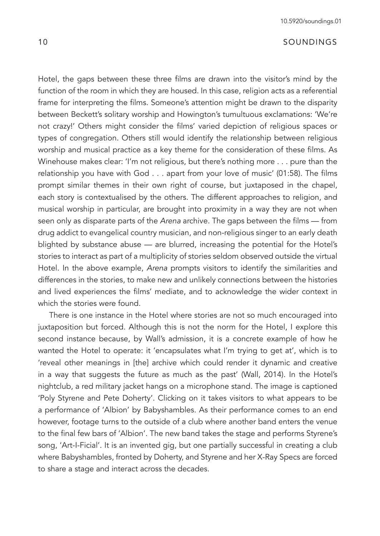Hotel, the gaps between these three films are drawn into the visitor's mind by the function of the room in which they are housed. In this case, religion acts as a referential frame for interpreting the films. Someone's attention might be drawn to the disparity between Beckett's solitary worship and Howington's tumultuous exclamations: 'We're not crazy!' Others might consider the films' varied depiction of religious spaces or types of congregation. Others still would identify the relationship between religious worship and musical practice as a key theme for the consideration of these films. As Winehouse makes clear: 'I'm not religious, but there's nothing more . . . pure than the relationship you have with God . . . apart from your love of music' (01:58). The films prompt similar themes in their own right of course, but juxtaposed in the chapel, each story is contextualised by the others. The different approaches to religion, and musical worship in particular, are brought into proximity in a way they are not when seen only as disparate parts of the *Arena* archive. The gaps between the films — from drug addict to evangelical country musician, and non-religious singer to an early death blighted by substance abuse — are blurred, increasing the potential for the Hotel's stories to interact as part of a multiplicity of stories seldom observed outside the virtual Hotel. In the above example, *Arena* prompts visitors to identify the similarities and differences in the stories, to make new and unlikely connections between the histories and lived experiences the films' mediate, and to acknowledge the wider context in which the stories were found.

There is one instance in the Hotel where stories are not so much encouraged into juxtaposition but forced*.* Although this is not the norm for the Hotel, I explore this second instance because, by Wall's admission, it is a concrete example of how he wanted the Hotel to operate: it 'encapsulates what I'm trying to get at', which is to 'reveal other meanings in [the] archive which could render it dynamic and creative in a way that suggests the future as much as the past' (Wall, 2014). In the Hotel's nightclub, a red military jacket hangs on a microphone stand. The image is captioned 'Poly Styrene and Pete Doherty'. Clicking on it takes visitors to what appears to be a performance of 'Albion' by Babyshambles. As their performance comes to an end however, footage turns to the outside of a club where another band enters the venue to the final few bars of 'Albion'. The new band takes the stage and performs Styrene's song, 'Art-I-Ficial'. It is an invented gig, but one partially successful in creating a club where Babyshambles, fronted by Doherty, and Styrene and her X-Ray Specs are forced to share a stage and interact across the decades.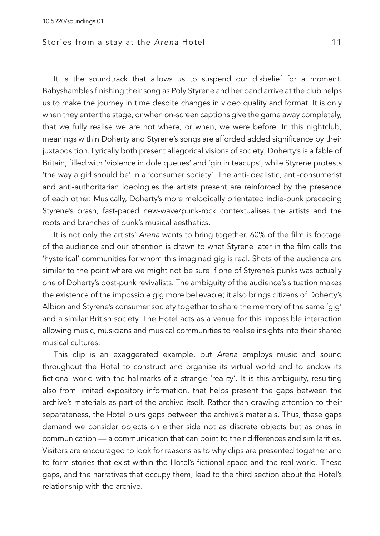It is the soundtrack that allows us to suspend our disbelief for a moment. Babyshambles finishing their song as Poly Styrene and her band arrive at the club helps us to make the journey in time despite changes in video quality and format. It is only when they enter the stage, or when on-screen captions give the game away completely, that we fully realise we are not where, or when, we were before. In this nightclub, meanings within Doherty and Styrene's songs are afforded added significance by their juxtaposition. Lyrically both present allegorical visions of society; Doherty's is a fable of Britain, filled with 'violence in dole queues' and 'gin in teacups', while Styrene protests 'the way a girl should be' in a 'consumer society'. The anti-idealistic, anti-consumerist and anti-authoritarian ideologies the artists present are reinforced by the presence of each other. Musically, Doherty's more melodically orientated indie-punk preceding Styrene's brash, fast-paced new-wave/punk-rock contextualises the artists and the roots and branches of punk's musical aesthetics.

It is not only the artists' *Arena* wants to bring together. 60% of the film is footage of the audience and our attention is drawn to what Styrene later in the film calls the 'hysterical' communities for whom this imagined gig is real. Shots of the audience are similar to the point where we might not be sure if one of Styrene's punks was actually one of Doherty's post-punk revivalists. The ambiguity of the audience's situation makes the existence of the impossible gig more believable; it also brings citizens of Doherty's Albion and Styrene's consumer society together to share the memory of the same 'gig' and a similar British society. The Hotel acts as a venue for this impossible interaction allowing music, musicians and musical communities to realise insights into their shared musical cultures.

This clip is an exaggerated example, but *Arena* employs music and sound throughout the Hotel to construct and organise its virtual world and to endow its fictional world with the hallmarks of a strange 'reality'. It is this ambiguity, resulting also from limited expository information, that helps present the gaps between the archive's materials as part of the archive itself. Rather than drawing attention to their separateness, the Hotel blurs gaps between the archive's materials. Thus, these gaps demand we consider objects on either side not as discrete objects but as ones in communication — a communication that can point to their differences and similarities. Visitors are encouraged to look for reasons as to why clips are presented together and to form stories that exist within the Hotel's fictional space and the real world. These gaps, and the narratives that occupy them, lead to the third section about the Hotel's relationship with the archive.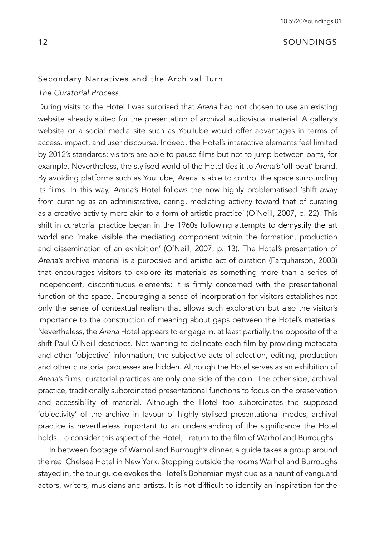### Secondary Narratives and the Archival Turn

#### *The Curatorial Process*

During visits to the Hotel I was surprised that *Arena* had not chosen to use an existing website already suited for the presentation of archival audiovisual material. A gallery's website or a social media site such as YouTube would offer advantages in terms of access, impact, and user discourse. Indeed, the Hotel's interactive elements feel limited by 2012's standards; visitors are able to pause films but not to jump between parts, for example. Nevertheless, the stylised world of the Hotel ties it to *Arena's* 'off-beat' brand. By avoiding platforms such as YouTube, *Arena* is able to control the space surrounding its films. In this way, *Arena's* Hotel follows the now highly problematised 'shift away from curating as an administrative, caring, mediating activity toward that of curating as a creative activity more akin to a form of artistic practice' (O'Neill, 2007, p. 22). This shift in curatorial practice began in the 1960s following attempts to demystify the art world and 'make visible the mediating component within the formation, production and dissemination of an exhibition' (O'Neill, 2007, p. 13). The Hotel*'s* presentation of *Arena's* archive material is a purposive and artistic act of curation (Farquharson, 2003) that encourages visitors to explore its materials as something more than a series of independent, discontinuous elements; it is firmly concerned with the presentational function of the space. Encouraging a sense of incorporation for visitors establishes not only the sense of contextual realism that allows such exploration but also the visitor's importance to the construction of meaning about gaps between the Hotel's materials. Nevertheless, the *Arena* Hotel appears to engage in, at least partially, the opposite of the shift Paul O'Neill describes. Not wanting to delineate each film by providing metadata and other 'objective' information, the subjective acts of selection, editing, production and other curatorial processes are hidden. Although the Hotel serves as an exhibition of *Arena's* films, curatorial practices are only one side of the coin. The other side, archival practice, traditionally subordinated presentational functions to focus on the preservation and accessibility of material. Although the Hotel too subordinates the supposed 'objectivity' of the archive in favour of highly stylised presentational modes, archival practice is nevertheless important to an understanding of the significance the Hotel holds. To consider this aspect of the Hotel, I return to the film of Warhol and Burroughs.

In between footage of Warhol and Burrough's dinner, a guide takes a group around the real Chelsea Hotel in New York. Stopping outside the rooms Warhol and Burroughs stayed in, the tour guide evokes the Hotel's Bohemian mystique as a haunt of vanguard actors, writers, musicians and artists. It is not difficult to identify an inspiration for the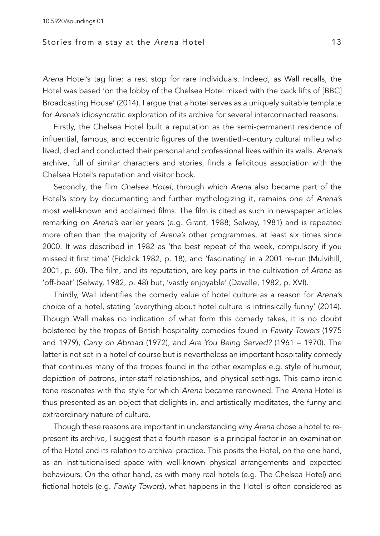*Arena* Hotel's tag line: a rest stop for rare individuals. Indeed, as Wall recalls, the Hotel was based 'on the lobby of the Chelsea Hotel mixed with the back lifts of [BBC] Broadcasting House' (2014). I argue that a hotel serves as a uniquely suitable template for *Arena's* idiosyncratic exploration of its archive for several interconnected reasons.

Firstly, the Chelsea Hotel built a reputation as the semi-permanent residence of influential, famous, and eccentric figures of the twentieth-century cultural milieu who lived, died and conducted their personal and professional lives within its walls. *Arena's* archive, full of similar characters and stories, finds a felicitous association with the Chelsea Hotel's reputation and visitor book.

Secondly, the film *Chelsea Hotel*, through which *Arena* also became part of the Hotel's story by documenting and further mythologizing it, remains one of *Arena's* most well-known and acclaimed films. The film is cited as such in newspaper articles remarking on *Arena's* earlier years (e.g. Grant, 1988; Selway, 1981) and is repeated more often than the majority of *Arena's* other programmes, at least six times since 2000. It was described in 1982 as 'the best repeat of the week, compulsory if you missed it first time' (Fiddick 1982, p. 18), and 'fascinating' in a 2001 re-run (Mulvihill, 2001, p. 60). The film, and its reputation, are key parts in the cultivation of *Arena* as 'off-beat' (Selway, 1982, p. 48) but, 'vastly enjoyable' (Davalle, 1982, p. XVI).

Thirdly, Wall identifies the comedy value of hotel culture as a reason for *Arena's*  choice of a hotel, stating 'everything about hotel culture is intrinsically funny' (2014). Though Wall makes no indication of what form this comedy takes, it is no doubt bolstered by the tropes of British hospitality comedies found in *Fawlty Towers* (1975 and 1979), *Carry on Abroad* (1972), and *Are You Being Served?* (1961 – 1970). The latter is not set in a hotel of course but is nevertheless an important hospitality comedy that continues many of the tropes found in the other examples e.g. style of humour, depiction of patrons, inter-staff relationships, and physical settings. This camp ironic tone resonates with the style for which *Arena* became renowned. The *Arena* Hotel is thus presented as an object that delights in, and artistically meditates, the funny and extraordinary nature of culture.

Though these reasons are important in understanding why *Arena* chose a hotel to represent its archive, I suggest that a fourth reason is a principal factor in an examination of the Hotel and its relation to archival practice. This posits the Hotel, on the one hand, as an institutionalised space with well-known physical arrangements and expected behaviours. On the other hand, as with many real hotels (e.g. The Chelsea Hotel) and fictional hotels (e.g. *Fawlty Towers*), what happens in the Hotel is often considered as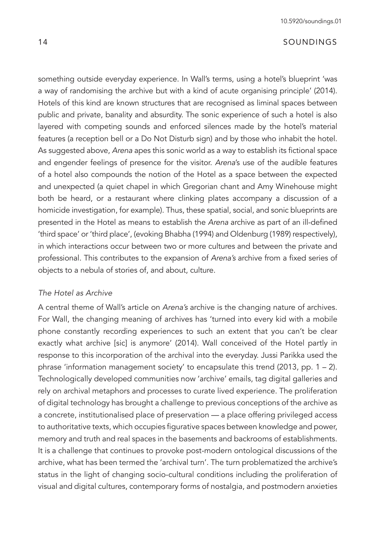something outside everyday experience. In Wall's terms, using a hotel's blueprint 'was a way of randomising the archive but with a kind of acute organising principle' (2014). Hotels of this kind are known structures that are recognised as liminal spaces between public and private, banality and absurdity. The sonic experience of such a hotel is also layered with competing sounds and enforced silences made by the hotel's material features (a reception bell or a Do Not Disturb sign) and by those who inhabit the hotel. As suggested above, *Arena* apes this sonic world as a way to establish its fictional space and engender feelings of presence for the visitor. *Arena*'s use of the audible features of a hotel also compounds the notion of the Hotel as a space between the expected and unexpected (a quiet chapel in which Gregorian chant and Amy Winehouse might both be heard, or a restaurant where clinking plates accompany a discussion of a homicide investigation, for example). Thus, these spatial, social, and sonic blueprints are presented in the Hotel as means to establish the *Arena* archive as part of an ill-defined 'third space' or 'third place', (evoking Bhabha (1994) and Oldenburg (1989) respectively), in which interactions occur between two or more cultures and between the private and professional. This contributes to the expansion of *Arena's* archive from a fixed series of objects to a nebula of stories of, and about, culture.

#### *The Hotel as Archive*

A central theme of Wall's article on *Arena's* archive is the changing nature of archives. For Wall, the changing meaning of archives has 'turned into every kid with a mobile phone constantly recording experiences to such an extent that you can't be clear exactly what archive [sic] is anymore' (2014). Wall conceived of the Hotel partly in response to this incorporation of the archival into the everyday. Jussi Parikka used the phrase 'information management society' to encapsulate this trend (2013, pp.  $1 - 2$ ). Technologically developed communities now 'archive' emails, tag digital galleries and rely on archival metaphors and processes to curate lived experience. The proliferation of digital technology has brought a challenge to previous conceptions of the archive as a concrete, institutionalised place of preservation — a place offering privileged access to authoritative texts, which occupies figurative spaces between knowledge and power, memory and truth and real spaces in the basements and backrooms of establishments. It is a challenge that continues to provoke post-modern ontological discussions of the archive, what has been termed the 'archival turn'. The turn problematized the archive's status in the light of changing socio-cultural conditions including the proliferation of visual and digital cultures, contemporary forms of nostalgia, and postmodern anxieties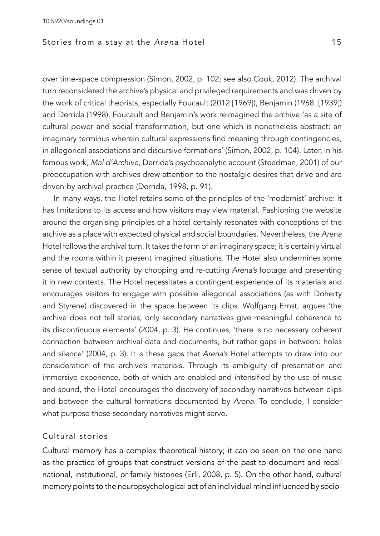over time-space compression (Simon, 2002, p. 102; see also Cook, 2012). The archival turn reconsidered the archive's physical and privileged requirements and was driven by the work of critical theorists, especially Foucault (2012 [1969]), Benjamin (1968. [1939]) and Derrida (1998). Foucault and Benjamin's work reimagined the archive 'as a site of cultural power and social transformation, but one which is nonetheless abstract: an imaginary terminus wherein cultural expressions find meaning through contingencies, in allegorical associations and discursive formations' (Simon, 2002, p. 104). Later, in his famous work, *Mal d'Archive,* Derrida's psychoanalytic account (Steedman, 2001) of our preoccupation with archives drew attention to the nostalgic desires that drive and are driven by archival practice (Derrida, 1998, p. 91).

In many ways, the Hotel retains some of the principles of the 'modernist' archive: it has limitations to its access and how visitors may view material. Fashioning the website around the organising principles of a hotel certainly resonates with conceptions of the archive as a place with expected physical and social boundaries. Nevertheless, the *Arena*  Hotel follows the archival turn. It takes the form of an imaginary space; it is certainly virtual and the rooms within it present imagined situations. The Hotel also undermines some sense of textual authority by chopping and re-cutting *Arena's* footage and presenting it in new contexts. The Hotel necessitates a contingent experience of its materials and encourages visitors to engage with possible allegorical associations (as with Doherty and Styrene) discovered in the space between its clips. Wolfgang Ernst, argues 'the archive does not tell stories; only secondary narratives give meaningful coherence to its discontinuous elements' (2004, p. 3). He continues, 'there is no necessary coherent connection between archival data and documents, but rather gaps in between: holes and silence' (2004, p. 3). It is these gaps that *Arena's* Hotel attempts to draw into our consideration of the archive's materials. Through its ambiguity of presentation and immersive experience, both of which are enabled and intensified by the use of music and sound, the Hotel encourages the discovery of secondary narratives between clips and between the cultural formations documented by *Arena*. To conclude, I consider what purpose these secondary narratives might serve.

# Cultural stories

Cultural memory has a complex theoretical history; it can be seen on the one hand as the practice of groups that construct versions of the past to document and recall national, institutional, or family histories (Erll, 2008, p. 5). On the other hand, cultural memory points to the neuropsychological act of an individual mind influenced by socio-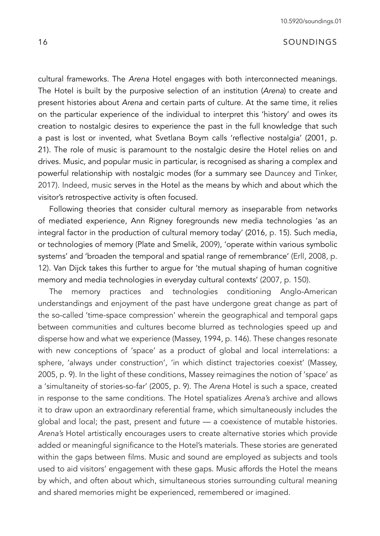cultural frameworks. The *Arena* Hotel engages with both interconnected meanings. The Hotel is built by the purposive selection of an institution (*Arena*) to create and present histories about *Arena* and certain parts of culture. At the same time, it relies on the particular experience of the individual to interpret this 'history' and owes its creation to nostalgic desires to experience the past in the full knowledge that such a past is lost or invented, what Svetlana Boym calls 'reflective nostalgia' (2001, p. 21). The role of music is paramount to the nostalgic desire the Hotel relies on and drives. Music, and popular music in particular, is recognised as sharing a complex and powerful relationship with nostalgic modes (for a summary see Dauncey and Tinker, 2017). Indeed, music serves in the Hotel as the means by which and about which the visitor's retrospective activity is often focused.

Following theories that consider cultural memory as inseparable from networks of mediated experience, Ann Rigney foregrounds new media technologies 'as an integral factor in the production of cultural memory today' (2016, p. 15). Such media, or technologies of memory (Plate and Smelik, 2009), 'operate within various symbolic systems' and 'broaden the temporal and spatial range of remembrance' (Erll, 2008, p. 12). Van Dijck takes this further to argue for 'the mutual shaping of human cognitive memory and media technologies in everyday cultural contexts' (2007, p. 150).

The memory practices and technologies conditioning Anglo-American understandings and enjoyment of the past have undergone great change as part of the so-called 'time-space compression' wherein the geographical and temporal gaps between communities and cultures become blurred as technologies speed up and disperse how and what we experience (Massey, 1994, p. 146). These changes resonate with new conceptions of 'space' as a product of global and local interrelations: a sphere, 'always under construction', 'in which distinct trajectories coexist' (Massey, 2005, p. 9). In the light of these conditions, Massey reimagines the notion of 'space' as a 'simultaneity of stories-so-far' (2005, p. 9). The *Arena* Hotel is such a space, created in response to the same conditions. The Hotel spatializes *Arena's* archive and allows it to draw upon an extraordinary referential frame, which simultaneously includes the global and local; the past, present and future — a coexistence of mutable histories. *Arena's* Hotel artistically encourages users to create alternative stories which provide added or meaningful significance to the Hotel's materials. These stories are generated within the gaps between films. Music and sound are employed as subjects and tools used to aid visitors' engagement with these gaps. Music affords the Hotel the means by which, and often about which, simultaneous stories surrounding cultural meaning and shared memories might be experienced, remembered or imagined.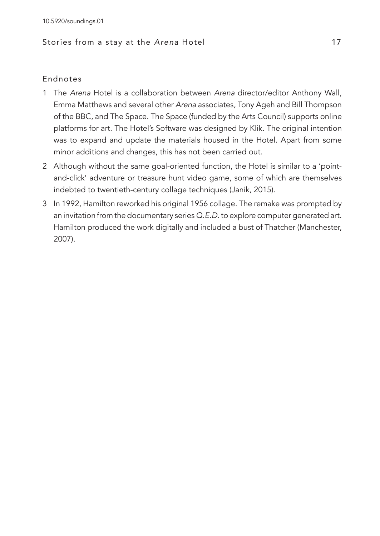# Endnotes

- 1 The *Arena* Hotel is a collaboration between *Arena* director/editor Anthony Wall, Emma Matthews and several other *Arena* associates*,* Tony Ageh and Bill Thompson of the BBC, and The Space. The Space (funded by the Arts Council) supports online platforms for art. The Hotel's Software was designed by Klik. The original intention was to expand and update the materials housed in the Hotel. Apart from some minor additions and changes, this has not been carried out.
- 2 Although without the same goal-oriented function, the Hotel is similar to a 'pointand-click' adventure or treasure hunt video game, some of which are themselves indebted to twentieth-century collage techniques (Janik, 2015).
- 3 In 1992, Hamilton reworked his original 1956 collage. The remake was prompted by an invitation from the documentary series *Q.E.D.* to explore computer generated art. Hamilton produced the work digitally and included a bust of Thatcher (Manchester, 2007).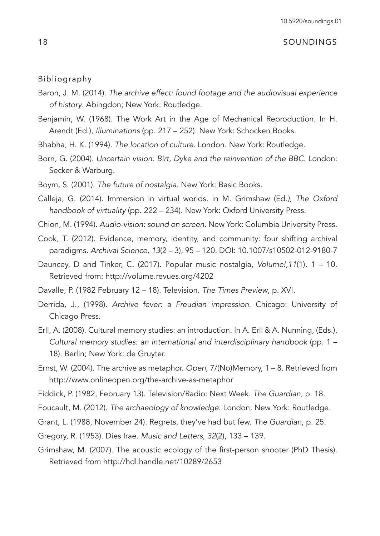Bibliography

- Baron, J. M. (2014). *The archive effect: found footage and the audiovisual experience of history*. Abingdon; New York: Routledge.
- Benjamin, W. (1968). The Work Art in the Age of Mechanical Reproduction. In H. Arendt (Ed.), *Illuminations* (pp. 217 – 252). New York: Schocken Books.
- Bhabha, H. K. (1994). *The location of culture*. London. New York: Routledge.
- Born, G. (2004). *Uncertain vision: Birt, Dyke and the reinvention of the BBC*. London: Secker & Warburg.
- Boym, S. (2001). *The future of nostalgia*. New York: Basic Books.
- Calleja, G. (2014). Immersion in virtual worlds. in M. Grimshaw (Ed*.), The Oxford handbook of virtuality* (pp. 222 – 234). New York: Oxford University Press.
- Chion, M. (1994). *Audio-vision: sound on screen.* New York: Columbia University Press.
- Cook, T. (2012). Evidence, memory, identity, and community: four shifting archival paradigms. *Archival Science, 13*(2 – 3), 95 – 120. DOI: 10.1007/s10502-012-9180-7
- Dauncey, D and Tinker, C. (2017). Popular music nostalgia, *Volume!,11*(1), 1 10. Retrieved from: http://volume.revues.org/4202
- Davalle, P. (1982 February 12 18). Television. *The Times Preview*, p. XVI.
- Derrida, J., (1998). *Archive fever: a Freudian impression*. Chicago: University of Chicago Press.
- Erll, A. (2008). Cultural memory studies: an introduction. In A. Erll & A. Nunning, (Eds.), *Cultural memory studies: an international and interdisciplinary handbook* (pp. 1 – 18). Berlin; New York: de Gruyter.
- Ernst, W. (2004). The archive as metaphor. *Open,* 7/(No)Memory, 1 8. Retrieved from http://www.onlineopen.org/the-archive-as-metaphor
- Fiddick, P. (1982, February 13). Television/Radio: Next Week*. The Guardian*, p. 18.
- Foucault, M. (2012). *The archaeology of knowledge*. London; New York: Routledge.
- Grant, L. (1988, November 24). Regrets, they've had but few. *The Guardian*, p. 25.

Gregory, R. (1953). Dies Irae. *Music and Letters, 32*(2), 133 – 139.

Grimshaw, M. (2007). The acoustic ecology of the first-person shooter (PhD Thesis). Retrieved from http://hdl.handle.net/10289/2653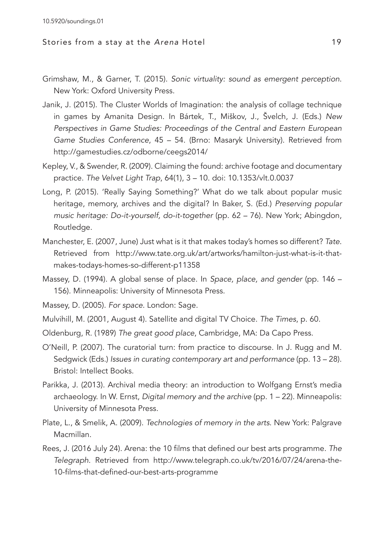- Grimshaw, M., & Garner, T. (2015). *Sonic virtuality: sound as emergent perception*. New York: Oxford University Press.
- Janik, J. (2015). The Cluster Worlds of Imagination: the analysis of collage technique in games by Amanita Design. In Bártek, T., Miškov, J., Švelch, J. (Eds.) *New Perspectives in Game Studies: Proceedings of the Central and Eastern European Game Studies Conference*, 45 – 54. (Brno: Masaryk University). Retrieved from http://gamestudies.cz/odborne/ceegs2014/
- Kepley, V., & Swender, R. (2009). Claiming the found: archive footage and documentary practice. *The Velvet Light Trap*, 64(1), 3 – 10. doi: 10.1353/vlt.0.0037
- Long, P. (2015). 'Really Saying Something?' What do we talk about popular music heritage, memory, archives and the digital? In Baker, S. (Ed.) *Preserving popular music heritage: Do-it-yourself, do-it-together* (pp. 62 – 76)*.* New York; Abingdon, Routledge.
- Manchester, E. (2007, June) Just what is it that makes today's homes so different? *Tate*. Retrieved from http://www.tate.org.uk/art/artworks/hamilton-just-what-is-it-thatmakes-todays-homes-so-different-p11358
- Massey, D. (1994). A global sense of place. In *Space, place, and gender* (pp. 146 156). Minneapolis: University of Minnesota Press.
- Massey, D. (2005). *For space*. London: Sage.
- Mulvihill, M. (2001, August 4). Satellite and digital TV Choice. *The Times*, p. 60.
- Oldenburg, R. (1989) *The great good place*, Cambridge, MA: Da Capo Press.
- O'Neill, P. (2007). The curatorial turn: from practice to discourse. In J. Rugg and M. Sedgwick (Eds.) *Issues in curating contemporary art and performance* (pp. 13 – 28). Bristol: Intellect Books.
- Parikka, J. (2013). Archival media theory: an introduction to Wolfgang Ernst's media archaeology. In W. Ernst, *Digital memory and the archive* (pp. 1 – 22). Minneapolis: University of Minnesota Press.
- Plate, L., & Smelik, A. (2009). *Technologies of memory in the arts*. New York: Palgrave Macmillan.
- Rees, J. (2016 July 24). Arena: the 10 films that defined our best arts programme. *The Telegraph*. Retrieved from http://www.telegraph.co.uk/tv/2016/07/24/arena-the-10-films-that-defined-our-best-arts-programme